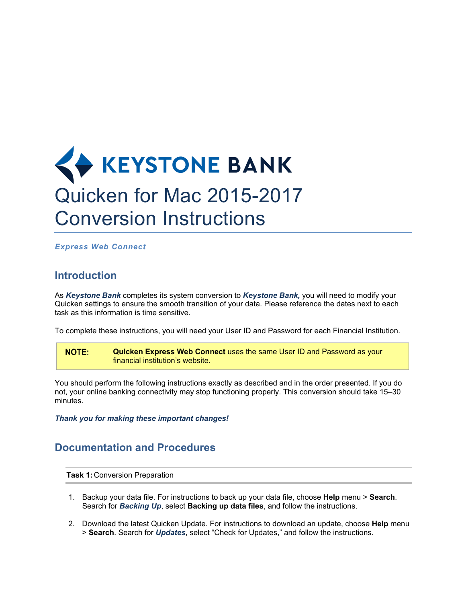## **KEYSTONE BANK** Quicken for Mac 2015-2017 Conversion Instructions

*Express Web Connect*

## **Introduction**

As *Keystone Bank* completes its system conversion to *Keystone Bank,* you will need to modify your Quicken settings to ensure the smooth transition of your data. Please reference the dates next to each task as this information is time sensitive.

To complete these instructions, you will need your User ID and Password for each Financial Institution.

**NOTE: Quicken Express Web Connect** uses the same User ID and Password as your financial institution's website.

You should perform the following instructions exactly as described and in the order presented. If you do not, your online banking connectivity may stop functioning properly. This conversion should take 15–30 minutes.

*Thank you for making these important changes!*

## **Documentation and Procedures**

**Task 1:** Conversion Preparation

- 1. Backup your data file. For instructions to back up your data file, choose **Help** menu > **Search**. Search for *Backing Up*, select **Backing up data files**, and follow the instructions.
- 2. Download the latest Quicken Update. For instructions to download an update, choose **Help** menu > **Search**. Search for *Updates*, select "Check for Updates," and follow the instructions.